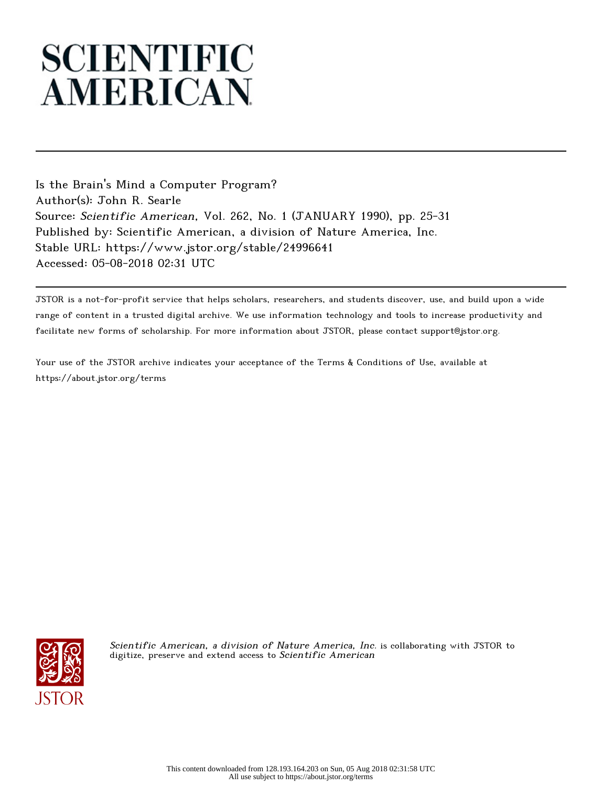## **SCIENTIFIC AMERICAN**

Is the Brain's Mind a Computer Program? Author(s): John R. Searle Source: Scientific American, Vol. 262, No. 1 (JANUARY 1990), pp. 25-31 Published by: Scientific American, a division of Nature America, Inc. Stable URL: https://www.jstor.org/stable/24996641 Accessed: 05-08-2018 02:31 UTC

JSTOR is a not-for-profit service that helps scholars, researchers, and students discover, use, and build upon a wide range of content in a trusted digital archive. We use information technology and tools to increase productivity and facilitate new forms of scholarship. For more information about JSTOR, please contact support@jstor.org.

Your use of the JSTOR archive indicates your acceptance of the Terms & Conditions of Use, available at https://about.jstor.org/terms



Scientific American, a division of Nature America, Inc. is collaborating with JSTOR to digitize, preserve and extend access to Scientific American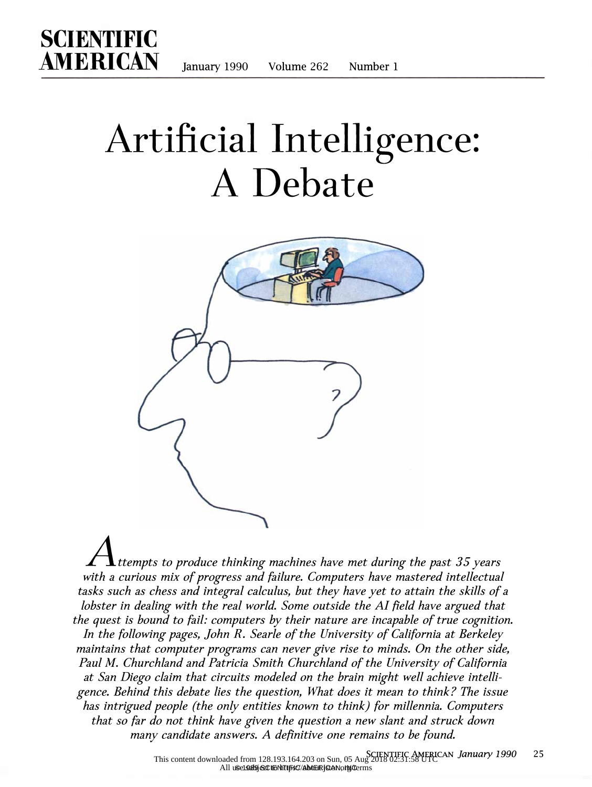

## Artificial Intelligence: A Debate



**L** ttempts to produce thinking machines have met during the past  $35$  years with a curious mix of progress and failure. Computers have mastered intellectual tasks such as chess and integral calculus, but they have yet to attain the skills of a lobster in dealing with the real world. Some outside the AI field have argued that the quest is bound to fail: computers by their nature are incapable of true cognition. In the following pages, John R. Searle of the University of California at Berkeley maintains that computer programs can never give rise to minds. On the other side, Paul M. Churchland and Patricia Smith Churchland of the University of California at San Diego claim that circuits modeled on the brain might well achieve intelligence. Behind this debate lies the question, What does it mean to think? The issue has intrigued people (the only entities known to think) for millennia. Computers that so far do not think have given the question a new slant and struck down many candidate answers. A definitive one remains to be found.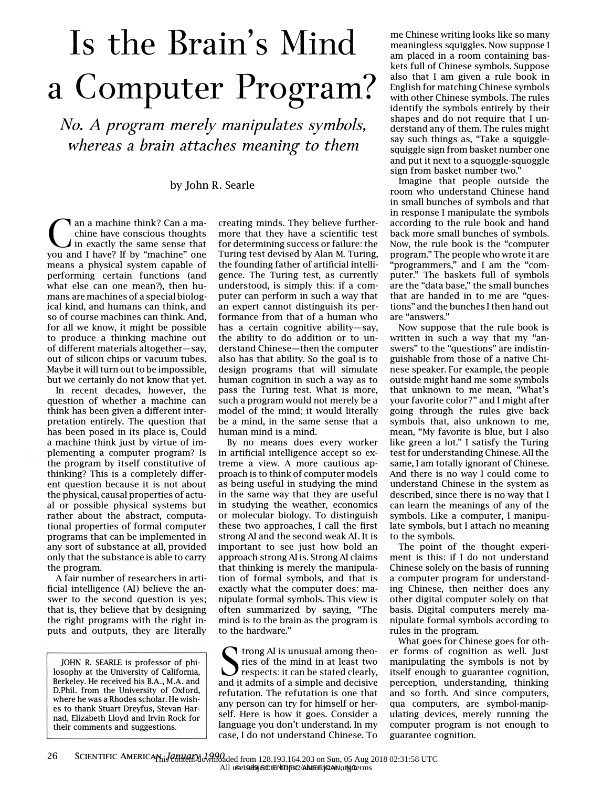## Is the Brain's Mind a Computer Program?

No. A program merely manipulates symbols, whereas a brain attaches meaning to them

by John R. Searle

Chine have conscious thoughts<br>in exactly the same sense that<br>you and I have? If by "machine" one an a machine think? Can a machine have conscious thoughts In exactly the same sense that means a physical system capable of performing certain functions (and what else can one mean?), then humans are machines of a special biological kind, and humans can think, and so of course machines can think. And, for all we know, it might be possible to produce a thinking machine out of different materials altogether-say, out of silicon chips or vacuum tubes. Maybe it will turn out to be impossible, but we certainly do not know that yet.

In recent decades, however, the question of whether a machine can think has been given a different interpretation entirely. The question that has been posed in its place is, Could a machine think just by virtue of implementing a computer program? Is the program by itself constitutive of thinking? This is a completely different question because it is not about the physical, causal properties of actual or possible physical systems but rather about the abstract, computational properties of formal computer programs that can be implemented in any sort of substance at all, provided only that the substance is able to carry the program.

A fair number of researchers in artificial intelligence (AI) believe the answer to the second question is yes; that is, they believe that by designing the right programs with the right inputs and outputs, they are literally

JOHN R. SEARLE is professor of phi· losophy at the University of California, Berkeley. He received his B.A., M.A. and D.Phi!. from the University of Oxford, where he was a Rhodes scholar. He wish· es to thank Stuart Dreyfus, Stevan Har· nad, Elizabeth lloyd and Irvin Rock for their comments and suggestions.

creating minds. They believe furthermore that they have a scientific test for determining success or failure: the Turing test devised by Alan M. Turing, the founding father of artificial intelligence. The Turing test, as currently understood, is simply this: if a computer can perform in such a way that an expert cannot distinguish its performance from that of a human who has a certain cognitive ability-say, the ability to do addition or to understand Chinese-then the computer also has that ability. So the goal is to design programs that will simulate human cognition in such a way as to pass the Turing test. What is more, such a program would not merely be a model of the mind; it would literally be a mind, in the same sense that a human mind is a mind.

By no means does every worker in artificial intelligence accept so extreme a view. A more cautious approach is to think of computer models as being useful in studying the mind in the same way that they are useful in studying the weather, economics or molecular biology. To distinguish these two approaches, I call the first strong AI and the second weak AI. It is important to see just how bold an approach strong AI is. Strong AI claims that thinking is merely the manipulation of formal symbols, and that is exactly what the computer does: manipulate formal symbols. This view is often summarized by saying, "The mind is to the brain as the program is to the hardware."

First of the mind in at least two<br>respects: it can be stated clearly,<br>and it admits of a simple and decisive trong AI is unusual among theories of the mind in at least two respects: it can be stated clearly, refutation. The refutation is one that any person can try for himself or herself. Here is how it goes. Consider a language you don't understand. In my case, I do not understand Chinese. To me Chinese writing looks like so many meaningless squiggles. Now suppose I am placed in a room containing baskets full of Chinese symbols. Suppose also that I am given a rule book in English for matching Chinese symbols with other Chinese symbols. The rules identify the symbols entirely by their shapes and do not require that I understand any of them. The rules might say such things as, "Take a squigglesquiggle sign from basket number one and put it next to a squoggle-squoggle sign from basket number two."

Imagine that people outside the room who understand Chinese hand in small bunches of symbols and that in response I manipulate the symbols according to the rule book and hand back more small bunches of symbols. Now, the rule book is the "computer program." The people who wrote it are "programmers," and I am the "computer." The baskets full of symbols are the "data base," the small bunches that are handed in to me are "questions" and the bunches I then hand out are "answers."

Now suppose that the rule book is written in such a way that my "answers" to the "questions" are indistinguishable from those of a native Chinese speaker. For example, the people outside might hand me some symbols that unknown to me mean, "What's your favorite color?" and I might after going through the rules give back symbols that, also unknown to me, mean, "My favorite is blue, but I also like green a lot." I satisfy the Turing test for understanding Chinese. All the same, I am totally ignorant of Chinese. And there is no way I could come to understand Chinese in the system as described, since there is no way that I can learn the meanings of any of the symbols. Like a computer, I manipulate symbols, but I attach no meaning to the symbols.

The point of the thought experiment is this: if I do not understand Chinese solely on the basis of running a computer program for understanding Chinese, then neither does any other digital computer solely on that basis. Digital computers merely manipulate formal symbols according to rules in the program.

What goes for Chinese goes for other forms of cognition as well. Just manipulating the symbols is not by itself enough to guarantee cognition, perception, understanding, thinking and so forth. And since computers, qua computers, are symbol-manipulating devices, merely running the computer program is not enough to guarantee cognition.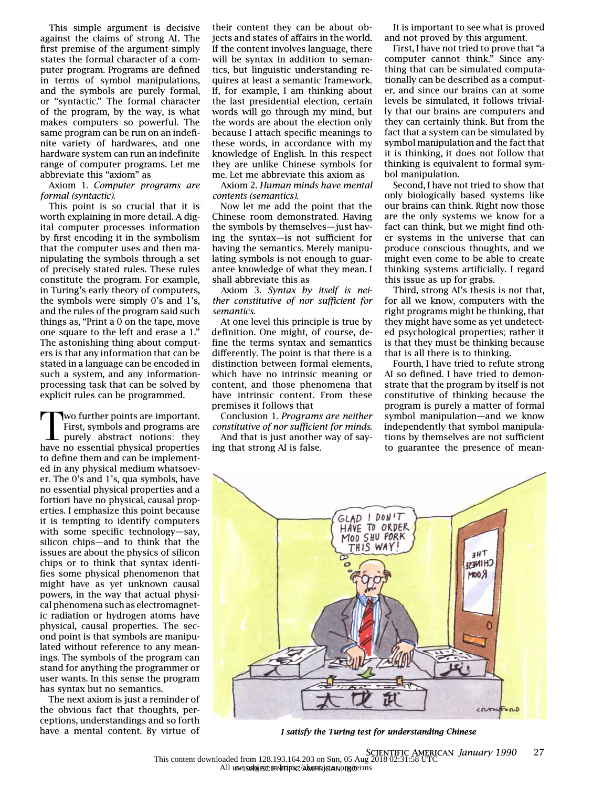This simple argument is decisive against the claims of strong AI. The first premise of the argument simply states the formal character of a computer program. Programs are defined in terms of symbol manipulations, and the symbols are purely formal, or "syntactic." The formal character of the program, by the way, is what makes computers so powerful. The same program can be run on an indefinite variety of hardwares, and one hardware system can run an indefinite range of computer programs. Let me abbreviate this "axiom" as

Axiom 1. Computer programs are formal (syntactic).

This point is so crucial that it is worth explaining in more detail. A digital computer processes information by first encoding it in the symbolism that the computer uses and then manipulating the symbols through a set of precisely stated rules. These rules constitute the program. For example, in Turing's early theory of computers, the symbols were simply 0's and 1's, and the rules of the program said such things as, "Print a 0 on the tape, move one square to the left and erase a 1." The astonishing thing about computers is that any information that can be stated in a language can be encoded in such a system, and any informationprocessing task that can be solved by explicit rules can be programmed.

First, symbols and programs are<br>purely abstract notions: they<br>have no essential physical properties wo further points are important. First, symbols and programs are purely abstract notions: they to define them and can be implemented in any physical medium whatsoever. The O's and l's, qua symbols, have no essential physical properties and a fortiori have no physical, causal properties. I emphasize this point because it is tempting to identify computers with some specific technology-say, silicon chips-and to think that the issues are about the physics of silicon chips or to think that syntax identifies some physical phenomenon that might have as yet unknown causal powers, in the way that actual physical phenomena such as electromagnetic radiation or hydrogen atoms have phYSical, causal properties. The second point is that symbols are manipulated without reference to any meanings. The symbols of the program can stand for anything the programmer or user wants. In this sense the program has syntax but no semantics.

The next axiom is just a reminder of the obvious fact that thoughts, perceptions, understandings and so forth have a mental content. By virtue of

their content they can be about objects and states of affairs in the world. If the content involves language, there will be syntax in addition to semantics, but linguistic understanding requires at least a semantic framework. If, for example, I am thinking about the last presidential election, certain words will go through my mind, but the words are about the election only because I attach specific meanings to these words, in accordance with my knowledge of English. In this respect they are unlike Chinese symbols for me. Let me abbreviate this axiom as

Axiom 2. Human minds have mental contents (semantics).

Now let me add the point that the Chinese room demonstrated. Having the symbols by themselves—just having the syntax-is not sufficient for having the semantics. Merely manipulating symbols is not enough to guarantee knowledge of what they mean. I shall abbreviate this as

Axiom 3. Syntax. by itself is neither constitutive of nor sufficient for semantics.

At one level this principle is true by definition. One might, of course, define the terms syntax and semantics differently. The point is that there is a distinction between formal elements, which have no intrinsic meaning or content, and those phenomena that have intrinsic content. From these premises it follows that

Conclusion 1. Programs are neither constitutive of nor sufficient for minds.

And that is just another way of saying that strong AI is false.

It is important to see what is proved and not proved by this argument.

First, I have not tried to prove that "a computer cannot think." Since anything that can be simulated computationally can be described as a computer, and since our brains can at some levels be simulated, it follows trivially that our brains are computers and they can certainly think. But from the fact that a system can be simulated by symbol manipulation and the fact that it is thinking, it does not follow that thinking is equivalent to formal symbol manipulation.

Second, I have not tried to show that only biologically based systems like our brains can think. Right now those are the only systems we know for a fact can think, but we might find other systems in the universe that can produce conscious thoughts, and we might even come to be able to create thinking systems artificially. I regard this issue as up for grabs.

Third, strong Ai's thesis is not that, for all we know, computers with the right programs might be thinking, that they might have some as yet undetected psychological properties; rather it is that they must be thinking because that is all there is to thinking.

Fourth, I have tried to refute strong AI so defined. I have tried to demonstrate that the program by itself is not constitutive of thinking because the program is purely a matter of formal symbol manipulation-and we know independently that symbol manipulations by themselves are not sufficient to guarantee the presence of mean-



I satisfy the Turing test for understanding Chinese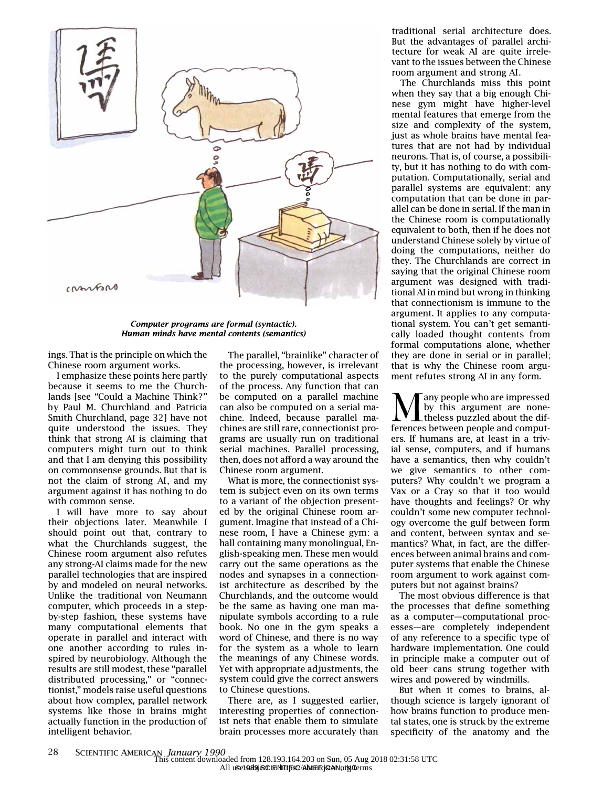

Computer programs are formal (syntactic). Human minds have mental contents (semantics)

ings. That is the principle on which the Chinese room argument works.

I emphasize these points here partly because it seems to me the Churchlands [see "Could a Machine Think?" by Paul M. Churchland and Patricia Smith Churchland, page 32] have not quite understood the issues. They think that strong AI is claiming that computers might turn out to think and that I am denying this possibility on commonsense grounds. But that is not the claim of strong AI, and my argument against it has nothing to do with common sense.

I will have more to say about their objections later. Meanwhile I should point out that, contrary to what the Churchlands suggest, the Chinese room argument also refutes any strong-AI claims made for the new parallel technologies that are inspired by and modeled on neural networks. Unlike the traditional von Neumann computer, which proceeds in a stepby-step fashion, these systems have many computational elements that operate in parallel and interact with one another according to rules inspired by neurobiology. Although the results are still modest, these "parallel distributed processing," or "connectionist," models raise useful questions about how complex, parallel network systems like those in brains might actually function in the production of intelligent behavior.

The parallel, "brainlike" character of the processing, however, is irrelevant to the purely computational aspects of the process. Any function that can be computed on a parallel machine can also be computed on a serial machine. Indeed, because parallel machines are still rare, connectionist programs are usually run on traditional serial machines. Parallel processing, then, does not afford a way around the Chinese room argument.

What is more, the connectionist system is subject even on its own terms to a variant of the objection presented by the original Chinese room argument. Imagine that instead of a Chinese room, I have a Chinese gym: a hall containing many monolingual, English-speaking men. These men would carry out the same operations as the nodes and synapses in a connectionist architecture as described by the Churchlands, and the outcome would be the same as having one man manipulate symbols according to a rule book. No one in the gym speaks a word of Chinese, and there is no way for the system as a whole to learn the meanings of any Chinese words. Yet with appropriate adjustments, the system could give the correct answers to Chinese questions.

There are, as I suggested earlier, interesting properties of connectionist nets that enable them to simulate brain processes more accurately than

traditional serial architecture does. But the advantages of parallel architecture for weak AI are quite irrelevant to the issues between the Chinese room argument and strong AI.

The Churchlands miss this point when they say that a big enough Chinese gym might have higher-level mental features that emerge from the size and complexity of the system, just as whole brains have mental features that are not had by individual neurons. That is, of course, a possibility, but it has nothing to do with computation. Computationally, serial and parallel systems are equivalent: any computation that can be done in parallel can be done in serial. If the man in the Chinese room is computationally equivalent to both, then if he does not understand Chinese solely by virtue of doing the computations, neither do they. The Churchlands are correct in saying that the original Chinese room argument was designed with traditional AI in mind but wrong in thinking that connectionism is immune to the argument. It applies to any computational system. You can't get semantically loaded thought contents from formal computations alone, whether they are done in serial or in parallel; that is why the Chinese room argument refutes strong AI in any form.

W by this argument are none-<br>theless puzzled about the dif-<br>ferences between people and computany people who are impressed by this argument are none-**L** theless puzzled about the difers. If humans are, at least in a trivial sense, computers, and if humans have a semantics, then why couldn't we give semantics to other computers? Why couldn't we program a Vax or a Cray so that it too would have thoughts and feelings? Or why couldn't some new computer technology overcome the gulf between form and content, between syntax and semantics? What, in fact, are the differences between animal brains and computer systems that enable the Chinese room argument to work against computers but not against brains?

The most obvious difference is that the processes that define something as a computer-computational processes-are completely independent of any reference to a specific type of hardware implementation. One could in principle make a computer out of old beer cans strung together with wires and powered by windmills.

But when it comes to brains, although science is largely ignorant of how brains function to produce mental states, one is struck by the extreme specificity of the anatomy and the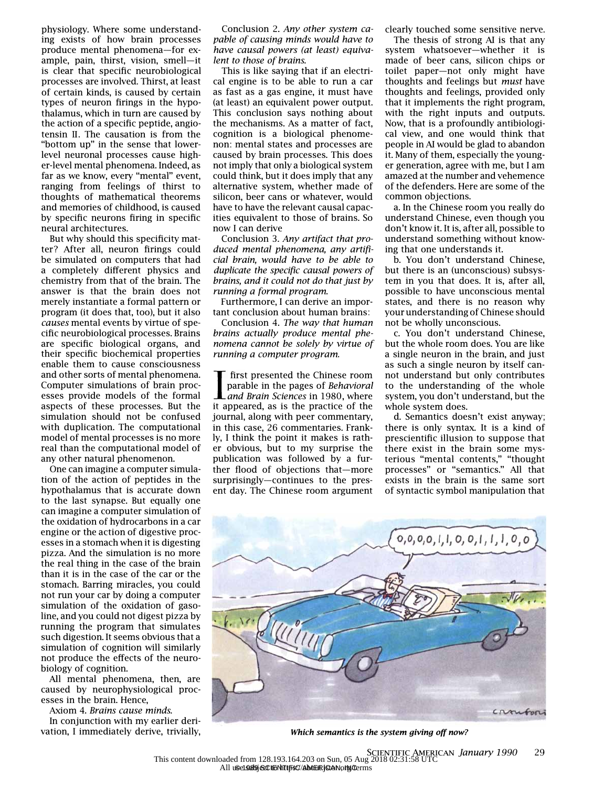physiology. Where some understanding exists of how brain processes produce mental phenomena-for example, pain, thirst, vision, smell-it is clear that specific neurobiological processes are involved. Thirst, at least of certain kinds, is caused by certain types of neuron firings in the hypothalamus, which in turn are caused by the action of a specific peptide, angiotensin ll. The causation is from the "bottom up" in the sense that lowerlevel neuronal processes cause higher-level mental phenomena. Indeed, as far as we know, every "mental" event, ranging from feelings of thirst to thoughts of mathematical theorems and memories of childhood, is caused by specific neurons firing in specific neural architectures.

But why should this specificity matter? After all, neuron firings could be simulated on computers that had a completely different physics and chemistry from that of the brain. The answer is that the brain does not merely instantiate a formal pattern or program (it does that, too), but it also causes mental events by virtue of specific neurobiological processes. Brains are specific biological organs, and their specific biochemical properties enable them to cause consciousness and other sorts of mental phenomena. Computer simulations of brain processes provide models of the formal aspects of these processes. But the simulation should not be confused with duplication. The computational model of mental processes is no more real than the computational model of any other natural phenomenon.

One can imagine a computer simulation of the action of peptides in the hypothalamus that is accurate down to the last synapse. But equally one can imagine a computer simulation of the oxidation of hydrocarbons in a car engine or the action of digestive processes in a stomach when it is digesting pizza. And the simulation is no more the real thing in the case of the brain than it is in the case of the car or the stomach. Barring miracles, you could not run your car by doing a computer simulation of the oxidation of gasoline, and you could not digest pizza by running the program that simulates such digestion. It seems obvious that a simulation of cognition will similarly not produce the effects of the neurobiology of cognition.

All mental phenomena, then, are caused by neurophysiological processes in the brain. Hence,

Axiom 4. Brains cause minds.

In conjunction with my earlier derivation, I immediately derive, trivially,

Conclusion 2. Any other system capable of causing minds would have to have causal powers (at least) equivalent to those of brains.

This is like saying that if an electrical engine is to be able to run a car as fast as a gas engine, it must have (at least) an equivalent power output. This conclusion says nothing about the mechanisms. As a matter of fact, cognition is a biological phenomenon: mental states and processes are caused by brain processes. This does not imply that only a biological system could think, but it does imply that any alternative system, whether made of silicon, beer cans or whatever, would have to have the relevant causal capacities equivalent to those of brains. So now I can derive

Conclusion 3. Any artifact that produced mental phenomena, any artificial brain, would have to be able to duplicate the specific causal powers of brains, and it could not do that just by running a formal program.

Furthermore, I can derive an important conclusion about human brains:

Conclusion 4. The way that human brains actually produce mental phenomena cannot be solely by virtue of running a computer program.

I first presented the Chinese room<br>
parable in the pages of *Behavioral*<br> *and Brain Sciences* in 1980, where<br>
it appeared as is the practice of the parable in the pages of Behavioral it appeared, as is the practice of the journal, along with peer commentary, in this case, 26 commentaries. Frankly, I think the point it makes is rather obvious, but to my surprise the publication was followed by a further flood of objections that-more surprisingly-continues to the present day. The Chinese room argument clearly touched some sensitive nerve.

The thesis of strong Al is that any system whatsoever-whether it is made of beer cans, silicon chips or toilet paper-not only might have thoughts and feelings but must have thoughts and feelings, provided only that it implements the right program, with the right inputs and outputs. Now, that is a profoundly antibiological view, and one would think that people in Al would be glad to abandon it. Many of them, especially the younger generation, agree with me, but I am amazed at the number and vehemence of the defenders. Here are some of the common objections.

a. In the Chinese room you really do understand Chinese, even though you don't know it. It is, after all, possible to understand something without knowing that one understands it.

b. You don't understand Chinese, but there is an (unconscious) subsystem in you that does. It is, after all, possible to have unconscious mental states, and there is no reason why your understanding of Chinese should not be wholly unconscious.

c. You don't understand Chinese, but the whole room does. You are like a single neuron in the brain, and just as such a single neuron by itself cannot understand but only contributes to the understanding of the whole system, you don't understand, but the whole system does.

d. Semantics doesn't exist anyway; there is only syntax. It is a kind of prescientific illusion to suppose that there exist in the brain some mysterious "mental contents," "thought processes" or "semantics." All that exists in the brain is the same sort of syntactic symbol manipulation that



Which semantics is the system giving off now?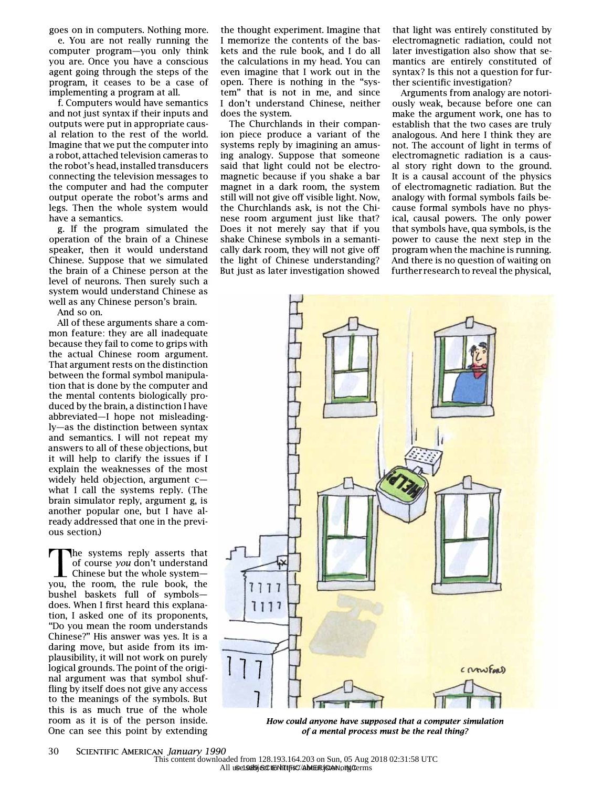goes on in computers. Nothing more.

e. You are not really running the computer program-you only think you are. Once you have a conscious agent going through the steps of the program, it ceases to be a case of implementing a program at all.

f. Computers would have semantics and not just syntax if their inputs and outputs were put in appropriate causal relation to the rest of the world. Imagine that we put the computer into a robot, attached television cameras to the robot's head, installed transducers connecting the television messages to the computer and had the computer output operate the robot's arms and legs. Then the whole system would have a semantics.

g. If the program simulated the operation of the brain of a Chinese speaker, then it would understand Chinese. Suppose that we simulated the brain of a Chinese person at the level of neurons. Then surely such a system would understand Chinese as well as any Chinese person's brain.

And so on.

All of these arguments share a common feature: they are all inadequate because they fail to come to grips with the actual Chinese room argument. That argument rests on the distinction between the formal symbol manipulation that is done by the computer and the mental contents biologically produced by the brain, a distinction I have abbreviated-I hope not misleadingly-as the distinction between syntax and semantics. I will not repeat my answers to all of these objections, but it will help to clarify the issues if I explain the weaknesses of the most widely held objection, argument  $c$ what I call the systems reply. (The brain simulator reply, argument g, is another popular one, but I have already addressed that one in the previous section.)

of course you don't understand<br>Chinese but the whole system—<br>you, the room, the rule book, the he systems reply asserts that of course you don't understand Chinese but the whole systembushel baskets full of symbolsdoes. When I first heard this explanation, I asked one of its proponents, "Do you mean the room understands Chinese?" His answer was yes. It is a daring move, but aside from its implausibility, it will not work on purely logical grounds. The point of the original argument was that symbol shuffling by itself does not give any access to the meanings of the symbols. But this is as much true of the whole room as it is of the person inside. One can see this point by extending

the thought experiment. Imagine that I memorize the contents of the baskets and the rule book, and I do all the calculations in my head. You can even imagine that I work out in the open. There is nothing in the "system" that is not in me, and since I don't understand Chinese, neither does the system.

The Churchlands in their companion piece produce a variant of the systems reply by imagining an amusing analogy. Suppose that someone said that light could not be electromagnetic because if you shake a bar magnet in a dark room, the system still will not give off visible light. Now, the Churchlands ask, is not the Chinese room argument just like that? Does it not merely say that if you shake Chinese symbols in a semantically dark room, they will not give off the light of Chinese understanding? But just as later investigation showed

that light was entirely constituted by electromagnetic radiation, could not later investigation also show that semantics are entirely constituted of syntax? Is this not a question for further scientific investigation?

Arguments from analogy are notoriously weak, because before one can make the argument work, one has to establish that the two cases are truly analogous. And here I think they are not. The account of light in terms of electromagnetic radiation is a causal story right down to the ground. It is a causal account of the physics of electromagnetic radiation. But the analogy with formal symbols fails because formal symbols have no physical, causal powers. The only power that symbols have, qua symbols, is the power to cause the next step in the program when the machine is running. And there is no question of waiting on further research to reveal the physical,



How could anyone have supposed that a computer simulation of a mental process must be the real thing?